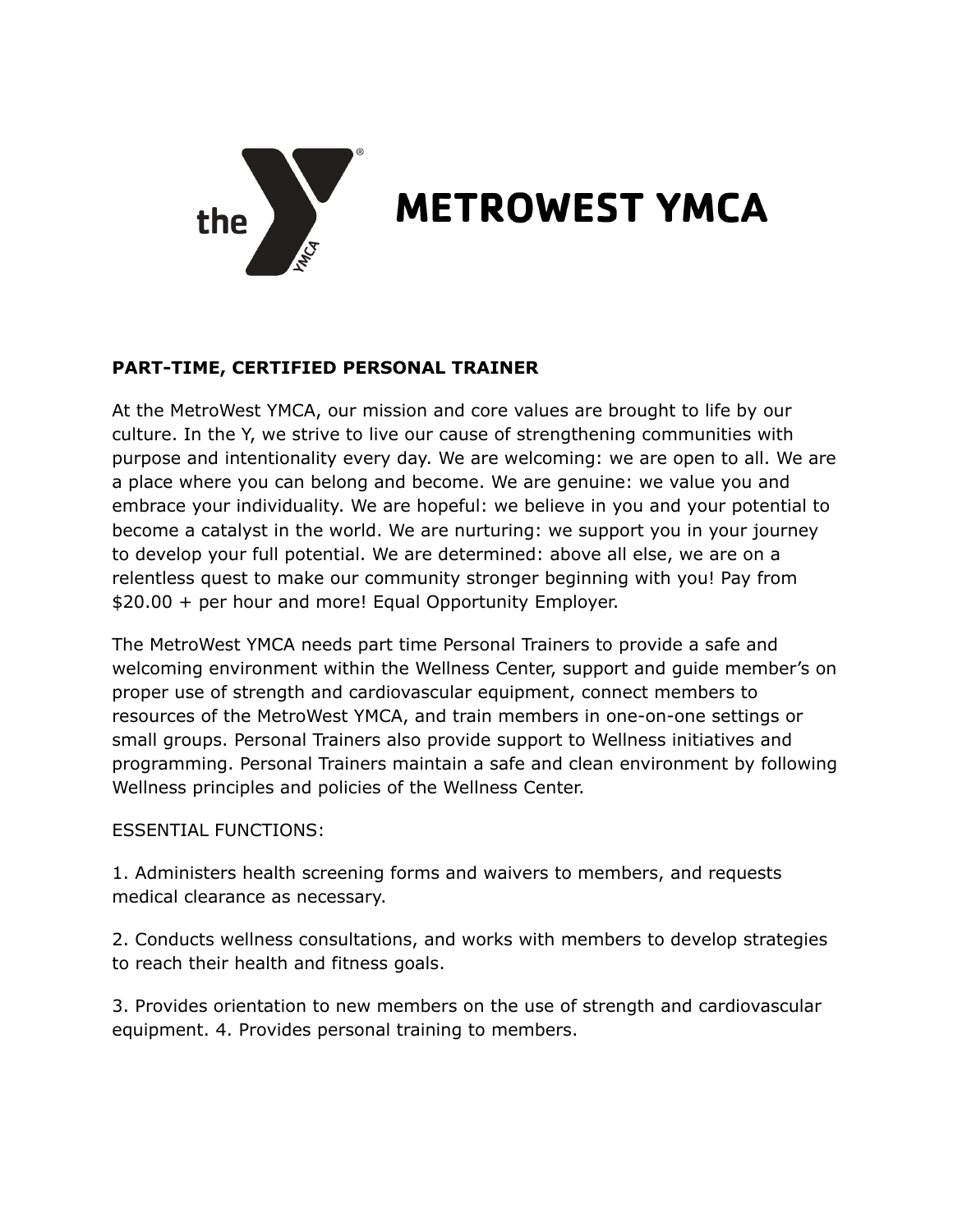

## **METROWEST YMCA**

## **PART-TIME, CERTIFIED PERSONAL TRAINER**

At the MetroWest YMCA, our mission and core values are brought to life by our culture. In the Y, we strive to live our cause of strengthening communities with purpose and intentionality every day. We are welcoming: we are open to all. We are a place where you can belong and become. We are genuine: we value you and embrace your individuality. We are hopeful: we believe in you and your potential to become a catalyst in the world. We are nurturing: we support you in your journey to develop your full potential. We are determined: above all else, we are on a relentless quest to make our community stronger beginning with you! Pay from \$20.00 + per hour and more! Equal Opportunity Employer.

The MetroWest YMCA needs part time Personal Trainers to provide a safe and welcoming environment within the Wellness Center, support and guide member's on proper use of strength and cardiovascular equipment, connect members to resources of the MetroWest YMCA, and train members in one-on-one settings or small groups. Personal Trainers also provide support to Wellness initiatives and programming. Personal Trainers maintain a safe and clean environment by following Wellness principles and policies of the Wellness Center.

## ESSENTIAL FUNCTIONS:

1. Administers health screening forms and waivers to members, and requests medical clearance as necessary.

2. Conducts wellness consultations, and works with members to develop strategies to reach their health and fitness goals.

3. Provides orientation to new members on the use of strength and cardiovascular equipment. 4. Provides personal training to members.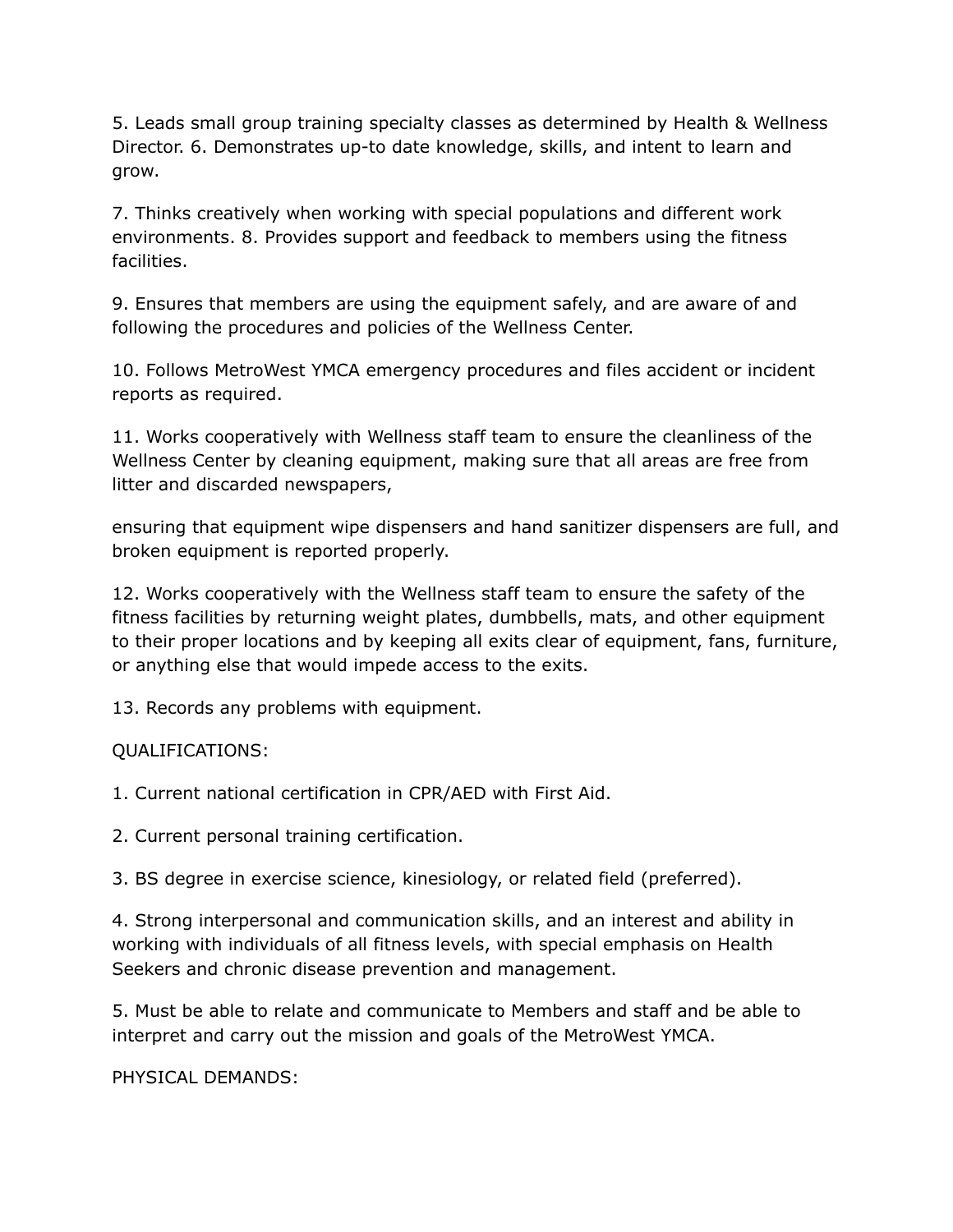5. Leads small group training specialty classes as determined by Health & Wellness Director. 6. Demonstrates up-to date knowledge, skills, and intent to learn and grow.

7. Thinks creatively when working with special populations and different work environments. 8. Provides support and feedback to members using the fitness facilities.

9. Ensures that members are using the equipment safely, and are aware of and following the procedures and policies of the Wellness Center.

10. Follows MetroWest YMCA emergency procedures and files accident or incident reports as required.

11. Works cooperatively with Wellness staff team to ensure the cleanliness of the Wellness Center by cleaning equipment, making sure that all areas are free from litter and discarded newspapers,

ensuring that equipment wipe dispensers and hand sanitizer dispensers are full, and broken equipment is reported properly.

12. Works cooperatively with the Wellness staff team to ensure the safety of the fitness facilities by returning weight plates, dumbbells, mats, and other equipment to their proper locations and by keeping all exits clear of equipment, fans, furniture, or anything else that would impede access to the exits.

13. Records any problems with equipment.

## QUALIFICATIONS:

1. Current national certification in CPR/AED with First Aid.

2. Current personal training certification.

3. BS degree in exercise science, kinesiology, or related field (preferred).

4. Strong interpersonal and communication skills, and an interest and ability in working with individuals of all fitness levels, with special emphasis on Health Seekers and chronic disease prevention and management.

5. Must be able to relate and communicate to Members and staff and be able to interpret and carry out the mission and goals of the MetroWest YMCA.

PHYSICAL DEMANDS: